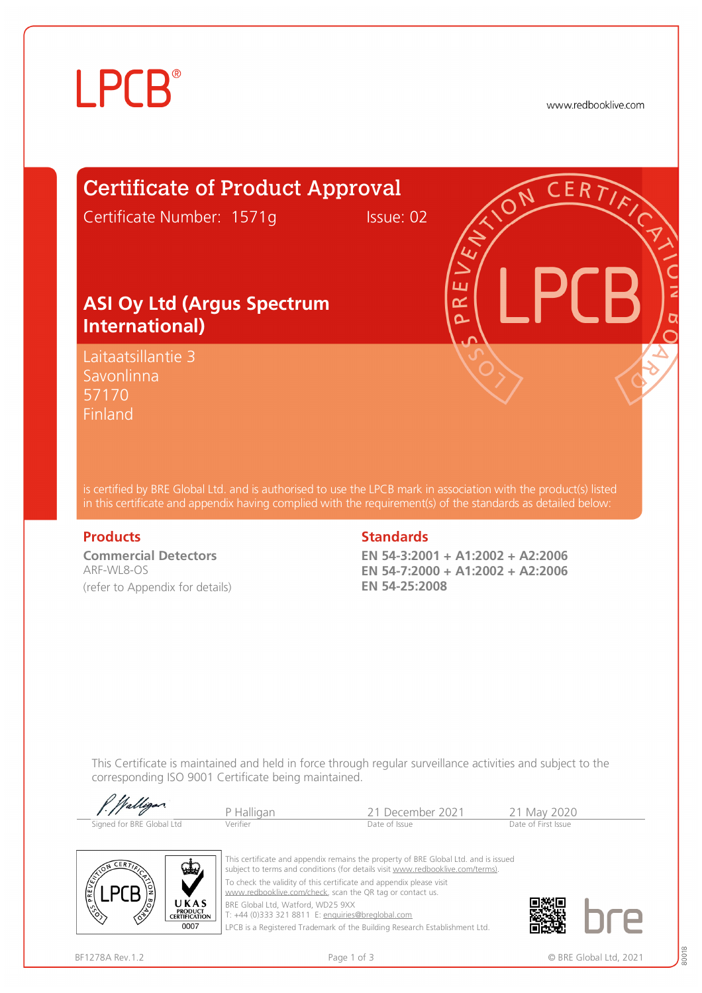# **LPCB**®

www.redbooklive.com

# Certificate of Product Approval

Certificate Number: 1571g Issue: 02

### **ASI Oy Ltd (Argus Spectrum International)**

Laitaatsillantie 3 Savonlinna 57170 **Finland** 

is certified by BRE Global Ltd. and is authorised to use the LPCB mark in association with the product(s) listed in this certificate and appendix having complied with the requirement(s) of the standards as detailed below:

**Commercial Detectors**  ARF-WL8-OS (refer to Appendix for details)

#### **Products** Standards **Standards**

**EN 54-3:2001 + A1:2002 + A2:2006 EN 54-7:2000 + A1:2002 + A2:2006 EN 54-25:2008** 

ய œ Ò

This Certificate is maintained and held in force through regular surveillance activities and subject to the corresponding ISO 9001 Certificate being maintained.

| f. Walligan               | P Halligan | -21 December 2021 | 21 May 2020         |
|---------------------------|------------|-------------------|---------------------|
| Signed for BRE Global Ltd | Verifier   | Date of Issue     | Date of First Issue |



This certificate and appendix remains the property of BRE Global Ltd. and is issued subject to terms and conditions (for details visit [www.redbooklive.com/terms\)](http://www.redbooklive.com/terms)). To check the validity of this certificate and appendix please visit [www.redbooklive.com/check,](http://www.redbooklive.com/check) scan the QR tag or contact us. BRE Global Ltd, Watford, WD25 9XX

T: +44 (0)333 321 8811 E: [enquiries@breglobal.com](mailto:enquiries@breglobal.com)

LPCB is a Registered Trademark of the Building Research Establishment Ltd.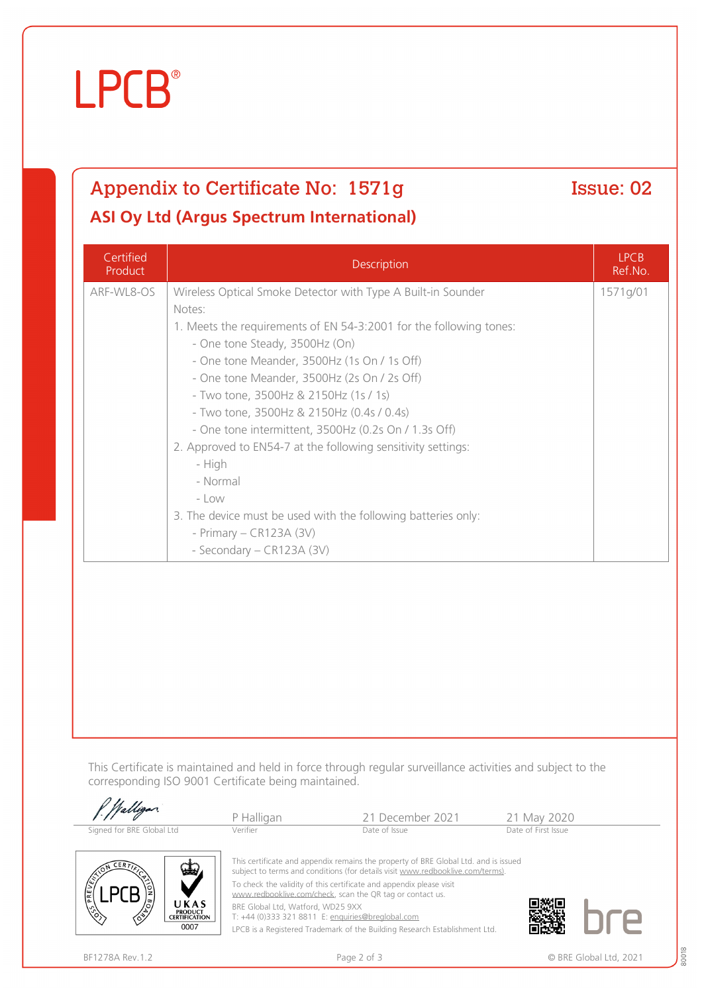# **LPCB**®

## Appendix to Certificate No: 1571g Issue: 02 **ASI Oy Ltd (Argus Spectrum International)**

Certified Product Description LPCB Ref.No. ARF-WL8-OS | Wireless Optical Smoke Detector with Type A Built-in Sounder Notes: 1. Meets the requirements of EN 54-3:2001 for the following tones: - One tone Steady, 3500Hz (On) - One tone Meander, 3500Hz (1s On / 1s Off) - One tone Meander, 3500Hz (2s On / 2s Off) - Two tone, 3500Hz & 2150Hz (1s / 1s) - Two tone, 3500Hz & 2150Hz (0.4s / 0.4s) - One tone intermittent, 3500Hz (0.2s On / 1.3s Off) 2. Approved to EN54-7 at the following sensitivity settings: - High - Normal - Low 3. The device must be used with the following batteries only: - Primary – CR123A (3V) - Secondary – CR123A (3V) 1571g/01

This Certificate is maintained and held in force through regular surveillance activities and subject to the corresponding ISO 9001 Certificate being maintained.

|                                                                               | P Halligan                                                                                                                                                            | 21 December 2021 | 21 May 2020         |  |
|-------------------------------------------------------------------------------|-----------------------------------------------------------------------------------------------------------------------------------------------------------------------|------------------|---------------------|--|
| Signed for BRE Global Ltd                                                     | Verifier                                                                                                                                                              | Date of Issue    | Date of First Issue |  |
| $CER$ $\overline{D}$<br><b>voter</b>                                          | This certificate and appendix remains the property of BRE Global Ltd. and is issued<br>subject to terms and conditions (for details visit www.redbooklive.com/terms). |                  |                     |  |
| PREVENT                                                                       | To check the validity of this certificate and appendix please visit<br>www.redbooklive.com/check, scan the QR tag or contact us.                                      |                  |                     |  |
| /ඊ/<br>UKAS<br>$\binom{6}{5}$<br><b>PRODUCT</b><br>∕ॐ<br><b>CERTIFICATION</b> | BRE Global Ltd, Watford, WD25 9XX<br>T: +44 (0)333 321 8811 E: enquiries@breglobal.com                                                                                |                  |                     |  |

LPCB is a Registered Trademark of the Building Research Establishment Ltd.

0007

80018